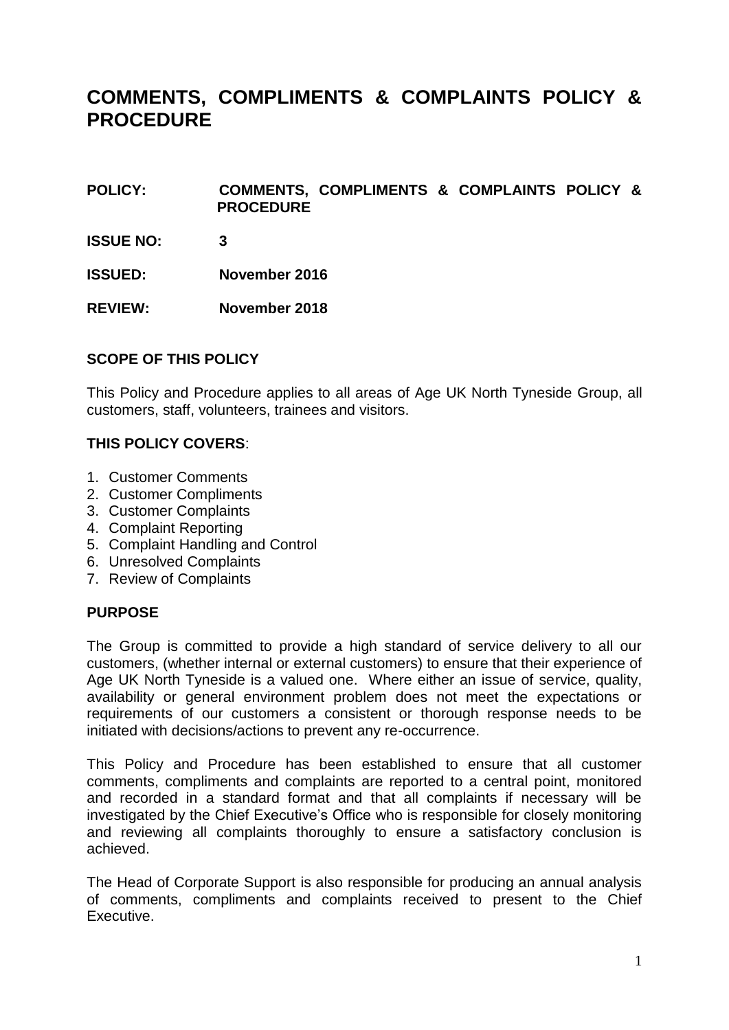### **COMMENTS, COMPLIMENTS & COMPLAINTS POLICY & PROCEDURE**

- **POLICY: COMMENTS, COMPLIMENTS & COMPLAINTS POLICY & PROCEDURE**
- **ISSUE NO: 3**
- **ISSUED: November 2016**
- **REVIEW: November 2018**

#### **SCOPE OF THIS POLICY**

This Policy and Procedure applies to all areas of Age UK North Tyneside Group, all customers, staff, volunteers, trainees and visitors.

#### **THIS POLICY COVERS**:

- 1. Customer Comments
- 2. Customer Compliments
- 3. Customer Complaints
- 4. Complaint Reporting
- 5. Complaint Handling and Control
- 6. Unresolved Complaints
- 7. Review of Complaints

#### **PURPOSE**

The Group is committed to provide a high standard of service delivery to all our customers, (whether internal or external customers) to ensure that their experience of Age UK North Tyneside is a valued one. Where either an issue of service, quality, availability or general environment problem does not meet the expectations or requirements of our customers a consistent or thorough response needs to be initiated with decisions/actions to prevent any re-occurrence.

This Policy and Procedure has been established to ensure that all customer comments, compliments and complaints are reported to a central point, monitored and recorded in a standard format and that all complaints if necessary will be investigated by the Chief Executive's Office who is responsible for closely monitoring and reviewing all complaints thoroughly to ensure a satisfactory conclusion is achieved.

The Head of Corporate Support is also responsible for producing an annual analysis of comments, compliments and complaints received to present to the Chief Executive.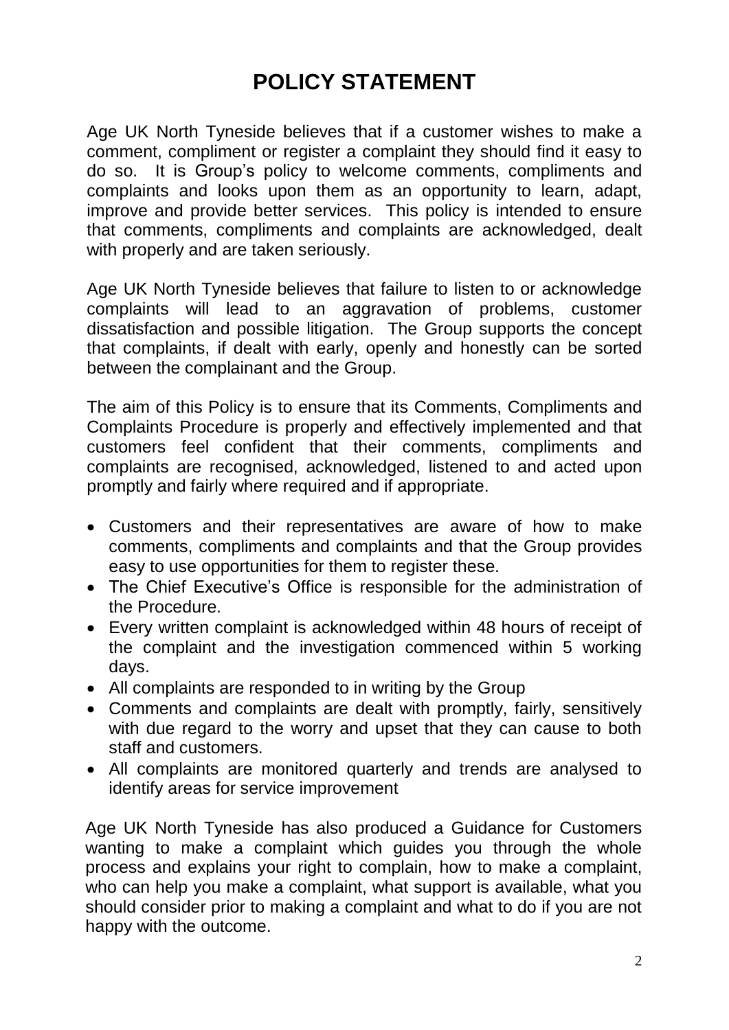# **POLICY STATEMENT**

Age UK North Tyneside believes that if a customer wishes to make a comment, compliment or register a complaint they should find it easy to do so. It is Group's policy to welcome comments, compliments and complaints and looks upon them as an opportunity to learn, adapt, improve and provide better services. This policy is intended to ensure that comments, compliments and complaints are acknowledged, dealt with properly and are taken seriously.

Age UK North Tyneside believes that failure to listen to or acknowledge complaints will lead to an aggravation of problems, customer dissatisfaction and possible litigation. The Group supports the concept that complaints, if dealt with early, openly and honestly can be sorted between the complainant and the Group.

The aim of this Policy is to ensure that its Comments, Compliments and Complaints Procedure is properly and effectively implemented and that customers feel confident that their comments, compliments and complaints are recognised, acknowledged, listened to and acted upon promptly and fairly where required and if appropriate.

- Customers and their representatives are aware of how to make comments, compliments and complaints and that the Group provides easy to use opportunities for them to register these.
- The Chief Executive's Office is responsible for the administration of the Procedure.
- Every written complaint is acknowledged within 48 hours of receipt of the complaint and the investigation commenced within 5 working days.
- All complaints are responded to in writing by the Group
- Comments and complaints are dealt with promptly, fairly, sensitively with due regard to the worry and upset that they can cause to both staff and customers.
- All complaints are monitored quarterly and trends are analysed to identify areas for service improvement

Age UK North Tyneside has also produced a Guidance for Customers wanting to make a complaint which guides you through the whole process and explains your right to complain, how to make a complaint, who can help you make a complaint, what support is available, what you should consider prior to making a complaint and what to do if you are not happy with the outcome.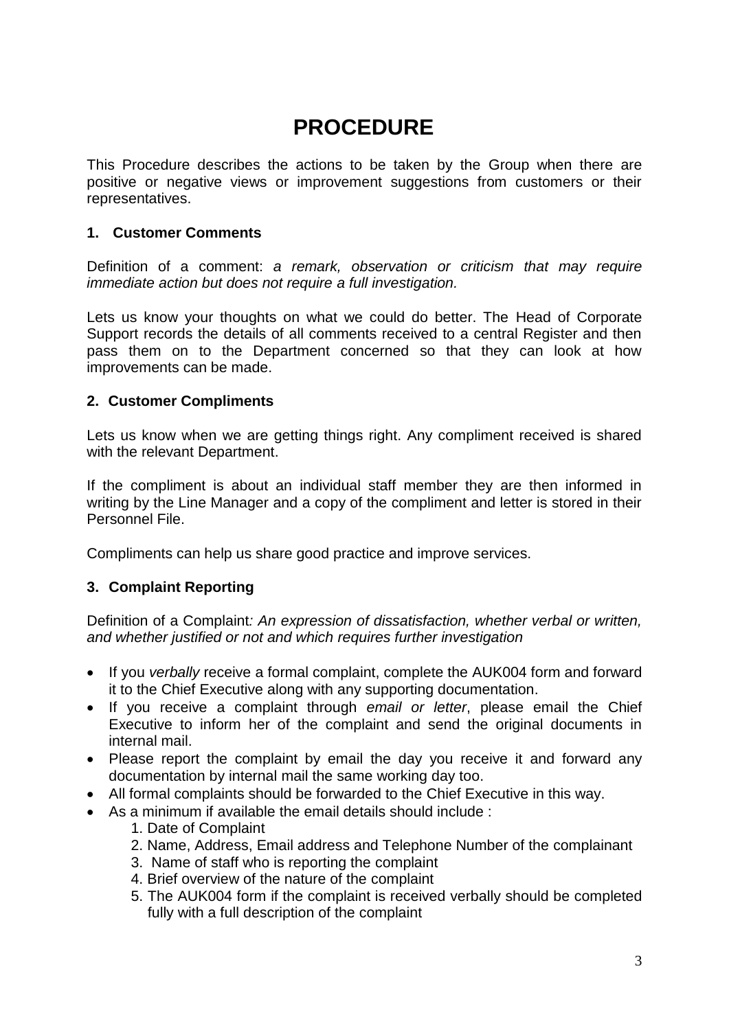## **PROCEDURE**

This Procedure describes the actions to be taken by the Group when there are positive or negative views or improvement suggestions from customers or their representatives.

#### **1. Customer Comments**

Definition of a comment: *a remark, observation or criticism that may require immediate action but does not require a full investigation.*

Lets us know your thoughts on what we could do better. The Head of Corporate Support records the details of all comments received to a central Register and then pass them on to the Department concerned so that they can look at how improvements can be made.

#### **2. Customer Compliments**

Lets us know when we are getting things right. Any compliment received is shared with the relevant Department.

If the compliment is about an individual staff member they are then informed in writing by the Line Manager and a copy of the compliment and letter is stored in their Personnel File.

Compliments can help us share good practice and improve services.

#### **3. Complaint Reporting**

Definition of a Complaint*: An expression of dissatisfaction, whether verbal or written, and whether justified or not and which requires further investigation*

- If you *verbally* receive a formal complaint, complete the AUK004 form and forward it to the Chief Executive along with any supporting documentation.
- If you receive a complaint through *email or letter*, please email the Chief Executive to inform her of the complaint and send the original documents in internal mail.
- Please report the complaint by email the day you receive it and forward any documentation by internal mail the same working day too.
- All formal complaints should be forwarded to the Chief Executive in this way.
- As a minimum if available the email details should include :
	- 1. Date of Complaint
	- 2. Name, Address, Email address and Telephone Number of the complainant
	- 3. Name of staff who is reporting the complaint
	- 4. Brief overview of the nature of the complaint
	- 5. The AUK004 form if the complaint is received verbally should be completed fully with a full description of the complaint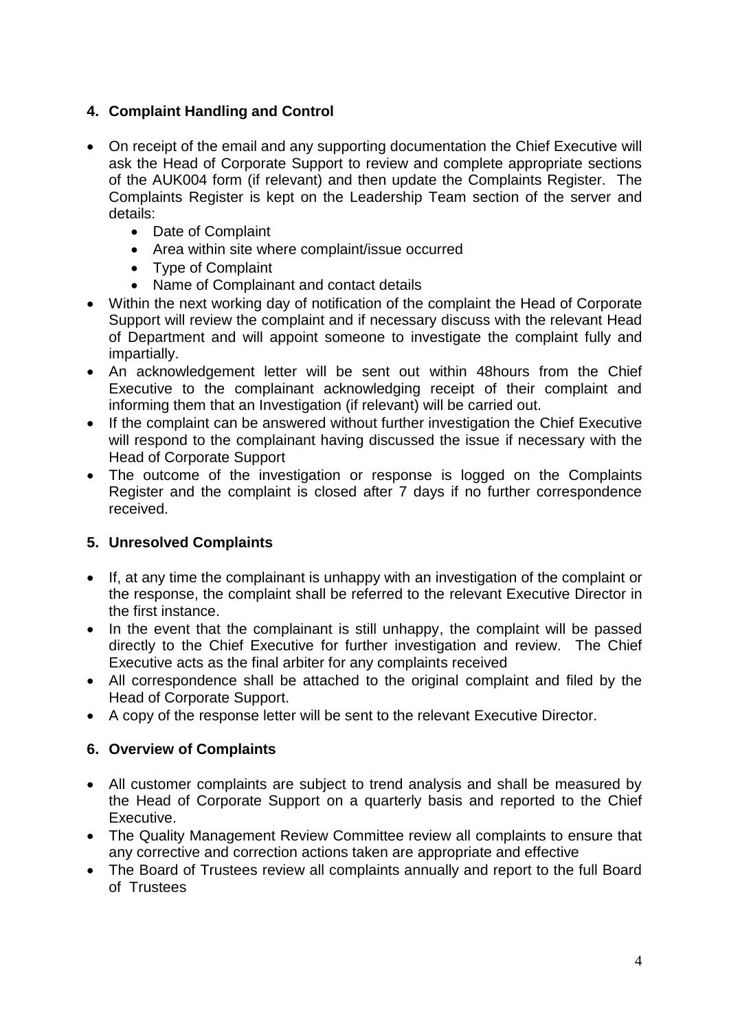### **4. Complaint Handling and Control**

- On receipt of the email and any supporting documentation the Chief Executive will ask the Head of Corporate Support to review and complete appropriate sections of the AUK004 form (if relevant) and then update the Complaints Register. The Complaints Register is kept on the Leadership Team section of the server and details:
	- Date of Complaint
	- Area within site where complaint/issue occurred
	- Type of Complaint
	- Name of Complainant and contact details
- Within the next working day of notification of the complaint the Head of Corporate Support will review the complaint and if necessary discuss with the relevant Head of Department and will appoint someone to investigate the complaint fully and impartially.
- An acknowledgement letter will be sent out within 48hours from the Chief Executive to the complainant acknowledging receipt of their complaint and informing them that an Investigation (if relevant) will be carried out.
- If the complaint can be answered without further investigation the Chief Executive will respond to the complainant having discussed the issue if necessary with the Head of Corporate Support
- The outcome of the investigation or response is logged on the Complaints Register and the complaint is closed after 7 days if no further correspondence received.

#### **5. Unresolved Complaints**

- If, at any time the complainant is unhappy with an investigation of the complaint or the response, the complaint shall be referred to the relevant Executive Director in the first instance.
- In the event that the complainant is still unhappy, the complaint will be passed directly to the Chief Executive for further investigation and review. The Chief Executive acts as the final arbiter for any complaints received
- All correspondence shall be attached to the original complaint and filed by the Head of Corporate Support.
- A copy of the response letter will be sent to the relevant Executive Director.

#### **6. Overview of Complaints**

- All customer complaints are subject to trend analysis and shall be measured by the Head of Corporate Support on a quarterly basis and reported to the Chief Executive.
- The Quality Management Review Committee review all complaints to ensure that any corrective and correction actions taken are appropriate and effective
- The Board of Trustees review all complaints annually and report to the full Board of Trustees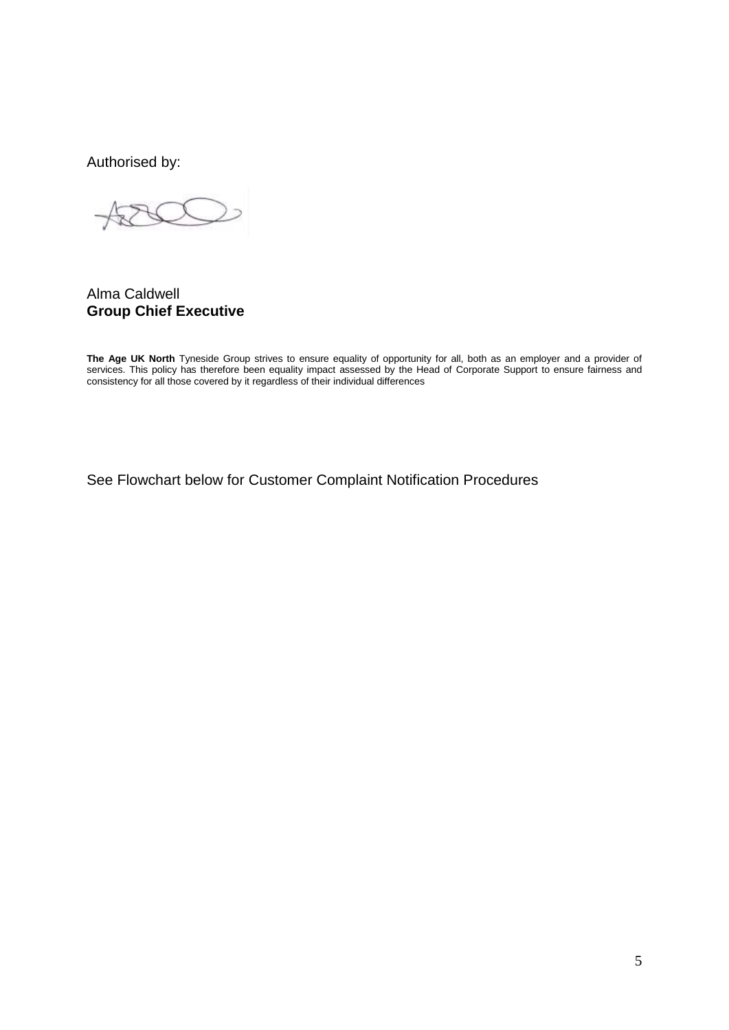Authorised by:

Alma Caldwell **Group Chief Executive**

**The Age UK North** Tyneside Group strives to ensure equality of opportunity for all, both as an employer and a provider of services. This policy has therefore been equality impact assessed by the Head of Corporate Support to ensure fairness and consistency for all those covered by it regardless of their individual differences

See Flowchart below for Customer Complaint Notification Procedures